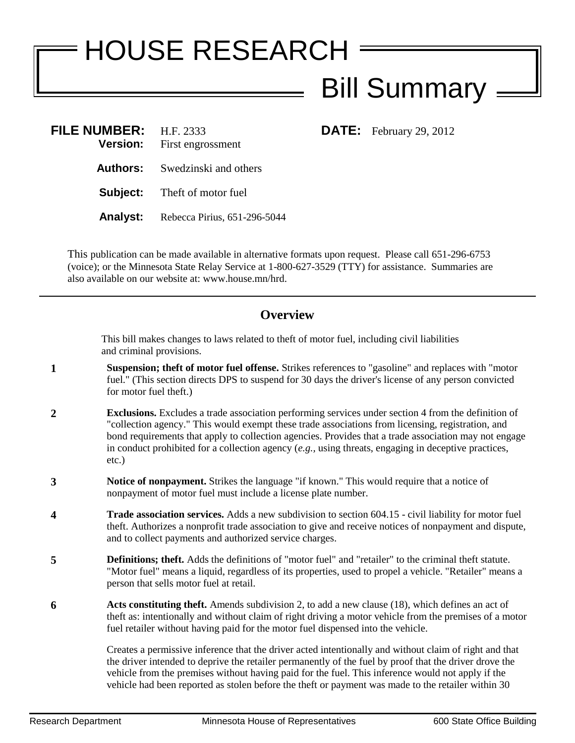## HOUSE RESEARCH Bill Summary

**DATE:** February 29, 2012

| <b>FILE NUMBER:</b><br><b>Version:</b> | H.F. 2333<br>First engrossment      |
|----------------------------------------|-------------------------------------|
| Authors:                               | Swedzinski and others               |
|                                        | <b>Subject:</b> Theft of motor fuel |
| Analyst:                               | Rebecca Pirius, 651-296-5044        |

This publication can be made available in alternative formats upon request. Please call 651-296-6753 (voice); or the Minnesota State Relay Service at 1-800-627-3529 (TTY) for assistance. Summaries are also available on our website at: www.house.mn/hrd.

## **Overview**

This bill makes changes to laws related to theft of motor fuel, including civil liabilities and criminal provisions.

- **1 Suspension; theft of motor fuel offense.** Strikes references to "gasoline" and replaces with "motor fuel." (This section directs DPS to suspend for 30 days the driver's license of any person convicted for motor fuel theft.)
- **2 Exclusions.** Excludes a trade association performing services under section 4 from the definition of "collection agency." This would exempt these trade associations from licensing, registration, and bond requirements that apply to collection agencies. Provides that a trade association may not engage in conduct prohibited for a collection agency (*e.g.,* using threats, engaging in deceptive practices, etc.)
- **3 Notice of nonpayment.** Strikes the language "if known." This would require that a notice of nonpayment of motor fuel must include a license plate number.
- **4 Trade association services.** Adds a new subdivision to section 604.15 civil liability for motor fuel theft. Authorizes a nonprofit trade association to give and receive notices of nonpayment and dispute, and to collect payments and authorized service charges.
- **5 Definitions; theft.** Adds the definitions of "motor fuel" and "retailer" to the criminal theft statute. "Motor fuel" means a liquid, regardless of its properties, used to propel a vehicle. "Retailer" means a person that sells motor fuel at retail.
- **6 Acts constituting theft.** Amends subdivision 2, to add a new clause (18), which defines an act of theft as: intentionally and without claim of right driving a motor vehicle from the premises of a motor fuel retailer without having paid for the motor fuel dispensed into the vehicle.

Creates a permissive inference that the driver acted intentionally and without claim of right and that the driver intended to deprive the retailer permanently of the fuel by proof that the driver drove the vehicle from the premises without having paid for the fuel. This inference would not apply if the vehicle had been reported as stolen before the theft or payment was made to the retailer within 30